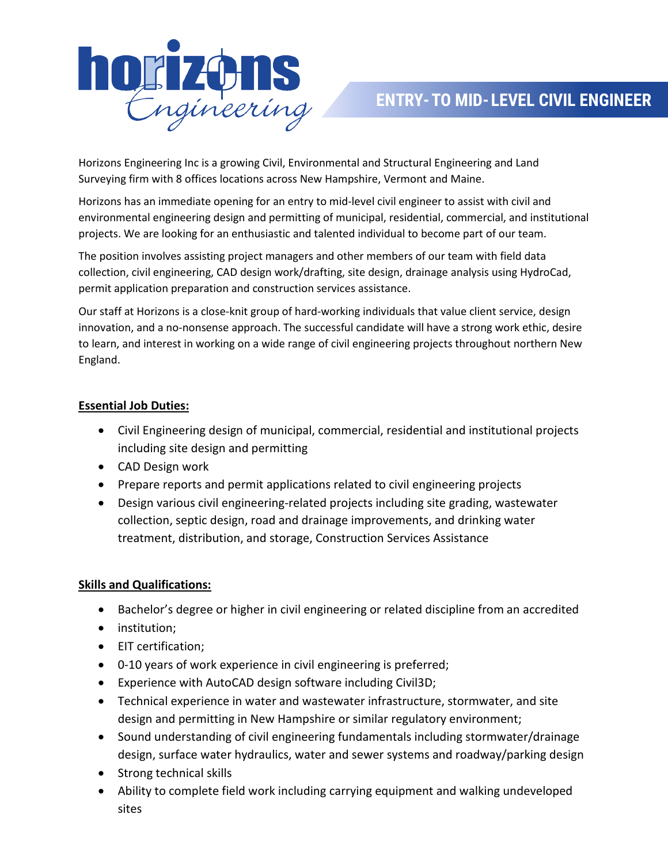

Horizons Engineering Inc is a growing Civil, Environmental and Structural Engineering and Land Surveying firm with 8 offices locations across New Hampshire, Vermont and Maine.

Horizons has an immediate opening for an entry to mid‐level civil engineer to assist with civil and environmental engineering design and permitting of municipal, residential, commercial, and institutional projects. We are looking for an enthusiastic and talented individual to become part of our team.

The position involves assisting project managers and other members of our team with field data collection, civil engineering, CAD design work/drafting, site design, drainage analysis using HydroCad, permit application preparation and construction services assistance.

Our staff at Horizons is a close-knit group of hard-working individuals that value client service, design innovation, and a no‐nonsense approach. The successful candidate will have a strong work ethic, desire to learn, and interest in working on a wide range of civil engineering projects throughout northern New England.

## **Essential Job Duties:**

- Civil Engineering design of municipal, commercial, residential and institutional projects including site design and permitting
- CAD Design work
- Prepare reports and permit applications related to civil engineering projects
- Design various civil engineering-related projects including site grading, wastewater collection, septic design, road and drainage improvements, and drinking water treatment, distribution, and storage, Construction Services Assistance

## **Skills and Qualifications:**

- Bachelor's degree or higher in civil engineering or related discipline from an accredited
- institution;
- EIT certification;
- 0‐10 years of work experience in civil engineering is preferred;
- Experience with AutoCAD design software including Civil3D;
- Technical experience in water and wastewater infrastructure, stormwater, and site design and permitting in New Hampshire or similar regulatory environment;
- Sound understanding of civil engineering fundamentals including stormwater/drainage design, surface water hydraulics, water and sewer systems and roadway/parking design
- Strong technical skills
- Ability to complete field work including carrying equipment and walking undeveloped sites